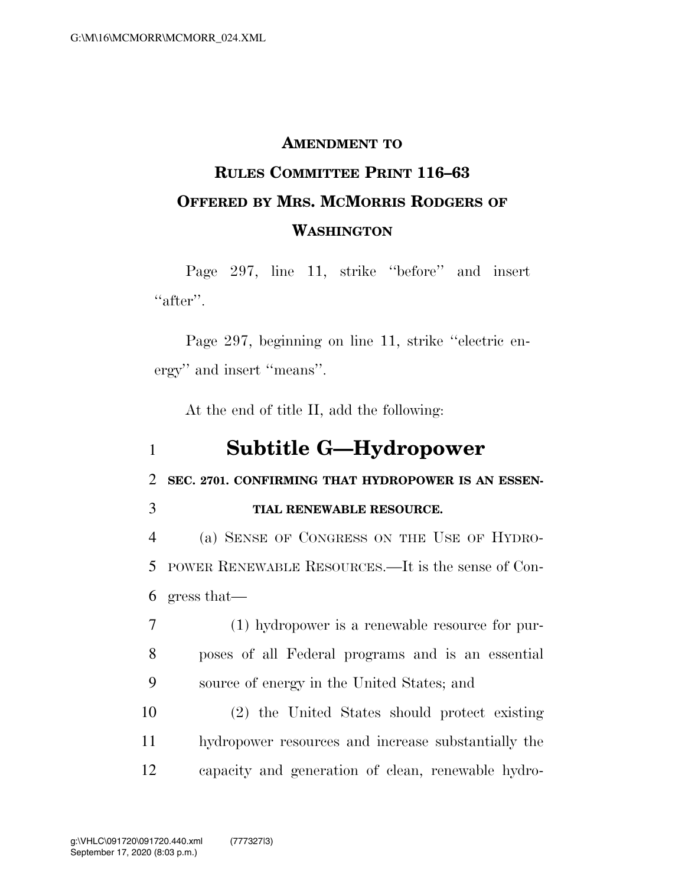#### **AMENDMENT TO**

# **RULES COMMITTEE PRINT 116–63 OFFERED BY MRS. MCMORRIS RODGERS OF WASHINGTON**

Page 297, line 11, strike ''before'' and insert "after".

Page 297, beginning on line 11, strike ''electric energy'' and insert ''means''.

At the end of title II, add the following:

### 1 **Subtitle G—Hydropower**

2 **SEC. 2701. CONFIRMING THAT HYDROPOWER IS AN ESSEN-**

#### 3 **TIAL RENEWABLE RESOURCE.**

4 (a) SENSE OF CONGRESS ON THE USE OF HYDRO-5 POWER RENEWABLE RESOURCES.—It is the sense of Con-6 gress that—

7 (1) hydropower is a renewable resource for pur-8 poses of all Federal programs and is an essential 9 source of energy in the United States; and

10 (2) the United States should protect existing 11 hydropower resources and increase substantially the 12 capacity and generation of clean, renewable hydro-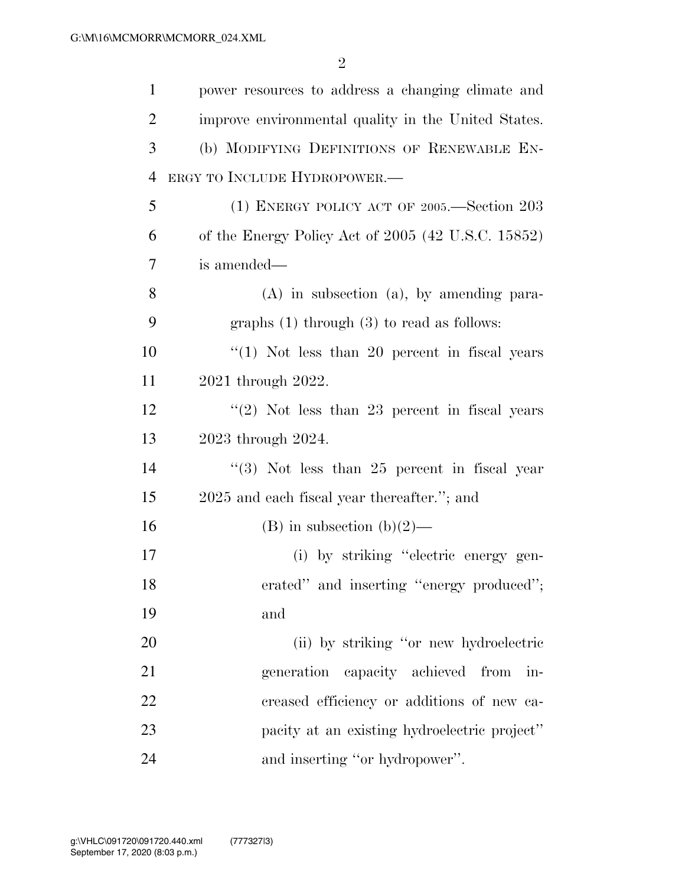| $\mathbf{1}$   | power resources to address a changing climate and    |
|----------------|------------------------------------------------------|
| $\overline{2}$ | improve environmental quality in the United States.  |
| 3              | (b) MODIFYING DEFINITIONS OF RENEWABLE EN-           |
| $\overline{4}$ | ERGY TO INCLUDE HYDROPOWER.-                         |
| 5              | (1) ENERGY POLICY ACT OF 2005.—Section 203           |
| 6              | of the Energy Policy Act of $2005$ (42 U.S.C. 15852) |
| 7              | is amended—                                          |
| 8              | $(A)$ in subsection $(a)$ , by amending para-        |
| 9              | graphs $(1)$ through $(3)$ to read as follows:       |
| 10             | $\lq(1)$ Not less than 20 percent in fiscal years    |
| 11             | 2021 through 2022.                                   |
| 12             | $\lq(2)$ Not less than 23 percent in fiscal years    |
| 13             | 2023 through 2024.                                   |
| 14             | $\lq(3)$ Not less than 25 percent in fiscal year     |
| 15             | 2025 and each fiscal year thereafter."; and          |
| 16             | (B) in subsection (b) $(2)$ —                        |
| 17             | (i) by striking "electric energy gen-                |
| 18             | erated" and inserting "energy produced";             |
| 19             | and                                                  |
| 20             | (ii) by striking "or new hydroelectric               |
| 21             | capacity achieved from<br>generation<br>in-          |
| 22             | creased efficiency or additions of new ca-           |
| 23             | pacity at an existing hydroelectric project"         |
| 24             | and inserting "or hydropower".                       |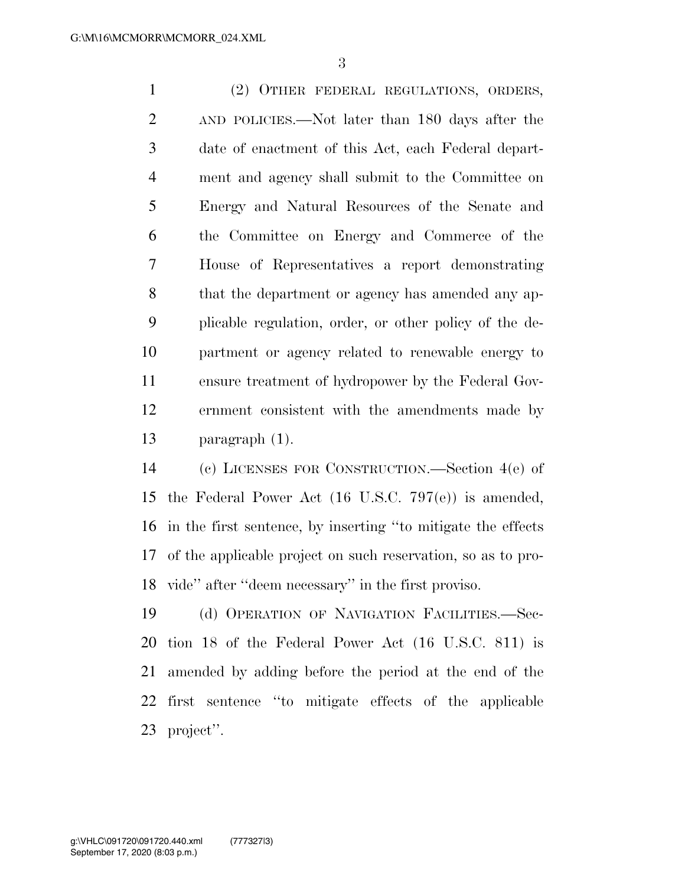(2) OTHER FEDERAL REGULATIONS, ORDERS, AND POLICIES.—Not later than 180 days after the date of enactment of this Act, each Federal depart- ment and agency shall submit to the Committee on Energy and Natural Resources of the Senate and the Committee on Energy and Commerce of the House of Representatives a report demonstrating that the department or agency has amended any ap- plicable regulation, order, or other policy of the de- partment or agency related to renewable energy to ensure treatment of hydropower by the Federal Gov- ernment consistent with the amendments made by paragraph (1).

 (c) LICENSES FOR CONSTRUCTION.—Section 4(e) of the Federal Power Act (16 U.S.C. 797(e)) is amended, in the first sentence, by inserting ''to mitigate the effects of the applicable project on such reservation, so as to pro-vide'' after ''deem necessary'' in the first proviso.

 (d) OPERATION OF NAVIGATION FACILITIES.—Sec- tion 18 of the Federal Power Act (16 U.S.C. 811) is amended by adding before the period at the end of the first sentence ''to mitigate effects of the applicable project''.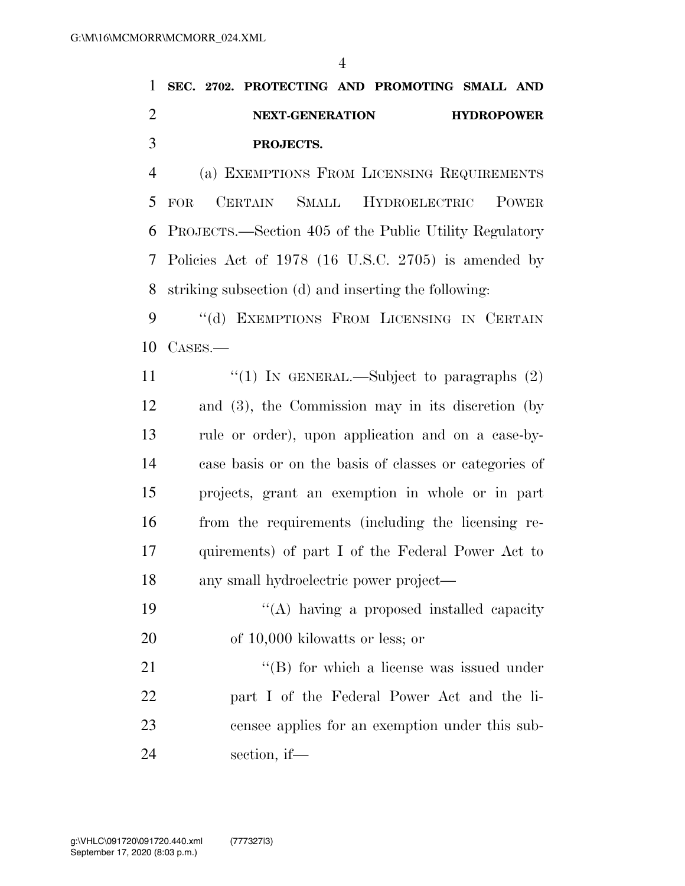### **SEC. 2702. PROTECTING AND PROMOTING SMALL AND NEXT-GENERATION HYDROPOWER PROJECTS.**

 (a) EXEMPTIONS FROM LICENSING REQUIREMENTS FOR CERTAIN SMALL HYDROELECTRIC POWER PROJECTS.—Section 405 of the Public Utility Regulatory Policies Act of 1978 (16 U.S.C. 2705) is amended by striking subsection (d) and inserting the following:

9 "(d) EXEMPTIONS FROM LICENSING IN CERTAIN CASES.—

 $\frac{1}{2}$  (1) In GENERAL.—Subject to paragraphs (2) and (3), the Commission may in its discretion (by rule or order), upon application and on a case-by- case basis or on the basis of classes or categories of projects, grant an exemption in whole or in part from the requirements (including the licensing re- quirements) of part I of the Federal Power Act to any small hydroelectric power project—

19 "(A) having a proposed installed capacity of 10,000 kilowatts or less; or

21 ''(B) for which a license was issued under part I of the Federal Power Act and the li- censee applies for an exemption under this sub-section, if—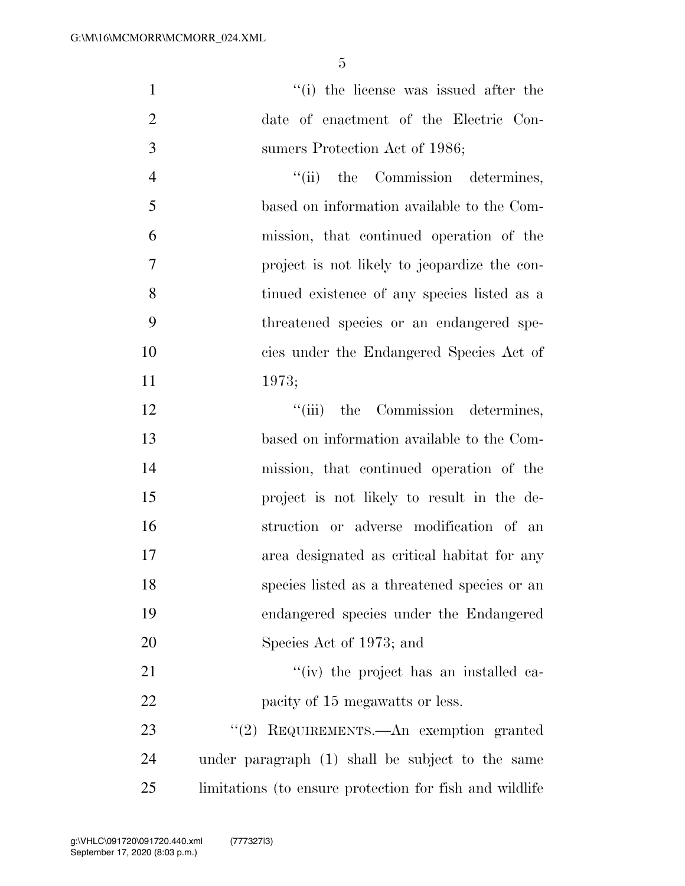1  $\frac{1}{1}$  the license was issued after the date of enactment of the Electric Con-sumers Protection Act of 1986;

4 "(ii) the Commission determines, based on information available to the Com- mission, that continued operation of the project is not likely to jeopardize the con- tinued existence of any species listed as a threatened species or an endangered spe- cies under the Endangered Species Act of 1973;

12 ''(iii) the Commission determines, based on information available to the Com- mission, that continued operation of the project is not likely to result in the de- struction or adverse modification of an area designated as critical habitat for any species listed as a threatened species or an endangered species under the Endangered Species Act of 1973; and

21 ''(iv) the project has an installed ca-22 pacity of 15 megawatts or less.

23 "(2) REQUIREMENTS.—An exemption granted under paragraph (1) shall be subject to the same limitations (to ensure protection for fish and wildlife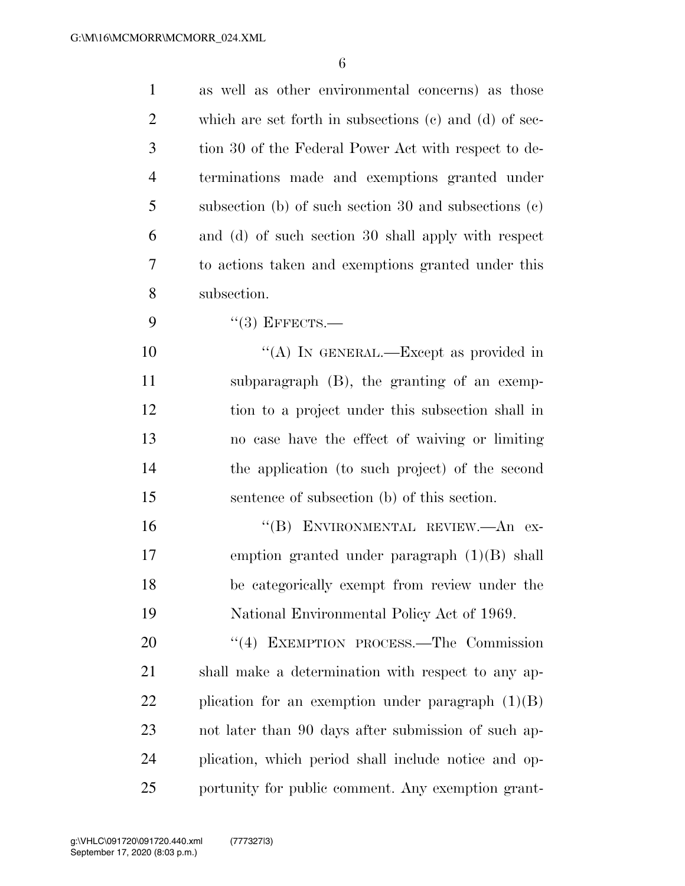| $\mathbf{1}$   | as well as other environmental concerns) as those          |
|----------------|------------------------------------------------------------|
| 2              | which are set forth in subsections $(c)$ and $(d)$ of sec- |
| 3              | tion 30 of the Federal Power Act with respect to de-       |
| $\overline{4}$ | terminations made and exemptions granted under             |
| 5              | subsection (b) of such section 30 and subsections $(c)$    |
| 6              | and (d) of such section 30 shall apply with respect        |
| 7              | to actions taken and exemptions granted under this         |
| 8              | subsection.                                                |
| 9              | $``(3)$ EFFECTS.-                                          |
| 10             | "(A) IN GENERAL.—Except as provided in                     |
| 11             | subparagraph (B), the granting of an exemp-                |
| 12             | tion to a project under this subsection shall in           |
| 13             | no case have the effect of waiving or limiting             |
| 14             | the application (to such project) of the second            |
| 15             | sentence of subsection (b) of this section.                |
| 16             | "(B) ENVIRONMENTAL REVIEW.—An ex-                          |
| 17             | emption granted under paragraph $(1)(B)$ shall             |
| 18             | be categorically exempt from review under the              |
| 19             | National Environmental Policy Act of 1969.                 |
| 20             | "(4) EXEMPTION PROCESS.—The Commission                     |
| 21             | shall make a determination with respect to any ap-         |
| 22             | plication for an exemption under paragraph $(1)(B)$        |
| 23             | not later than 90 days after submission of such ap-        |
| 24             | plication, which period shall include notice and op-       |
| 25             | portunity for public comment. Any exemption grant-         |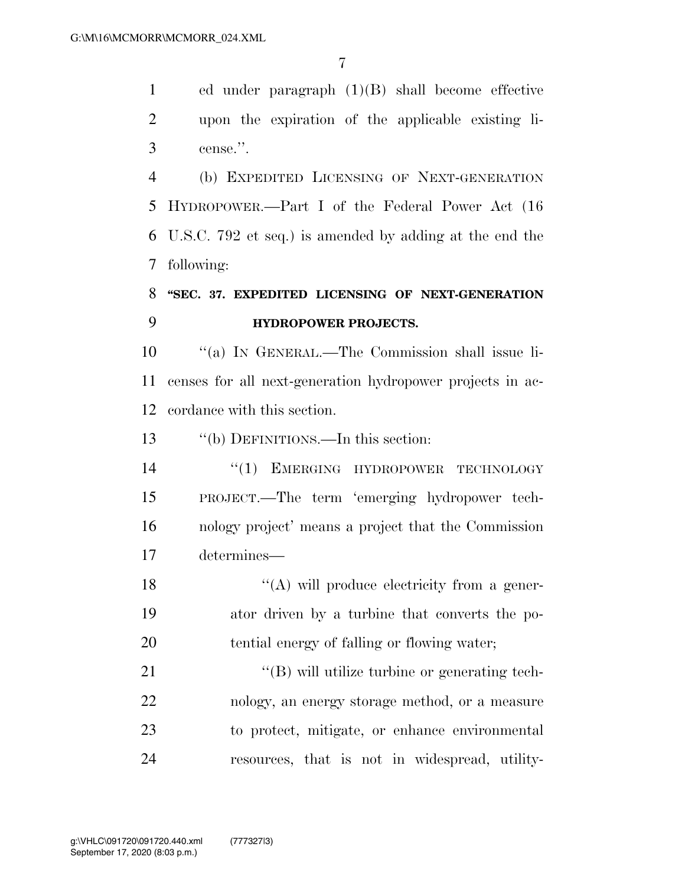ed under paragraph (1)(B) shall become effective upon the expiration of the applicable existing li-cense.''.

 (b) EXPEDITED LICENSING OF NEXT-GENERATION HYDROPOWER.—Part I of the Federal Power Act (16 U.S.C. 792 et seq.) is amended by adding at the end the following:

### **''SEC. 37. EXPEDITED LICENSING OF NEXT-GENERATION HYDROPOWER PROJECTS.**

 ''(a) IN GENERAL.—The Commission shall issue li- censes for all next-generation hydropower projects in ac-cordance with this section.

''(b) DEFINITIONS.—In this section:

14 "(1) EMERGING HYDROPOWER TECHNOLOGY PROJECT.—The term 'emerging hydropower tech- nology project' means a project that the Commission determines—

18 "(A) will produce electricity from a gener- ator driven by a turbine that converts the po-tential energy of falling or flowing water;

 $\langle (B)$  will utilize turbine or generating tech- nology, an energy storage method, or a measure to protect, mitigate, or enhance environmental resources, that is not in widespread, utility-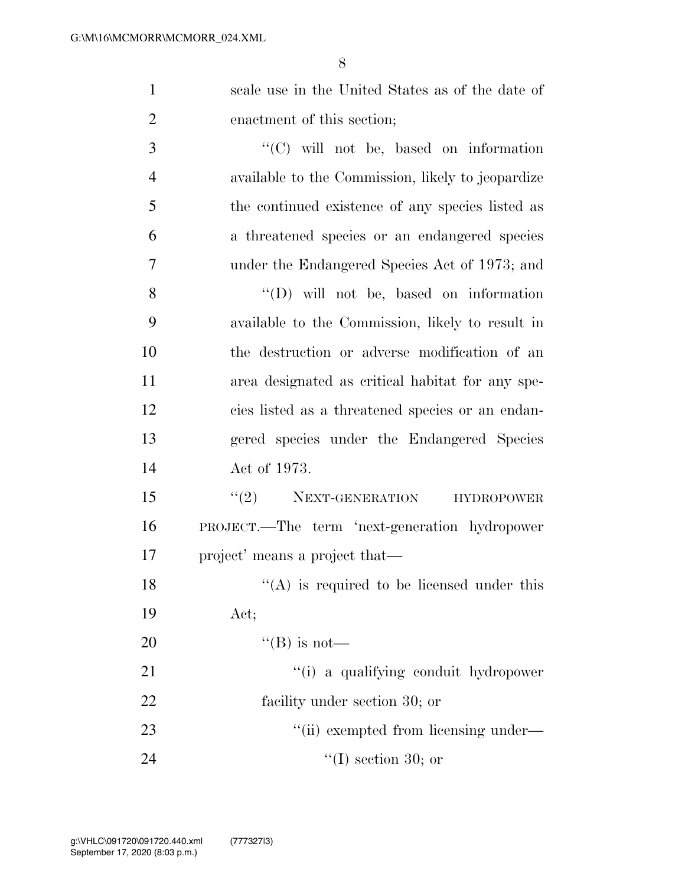| $\mathbf{1}$   | scale use in the United States as of the date of  |
|----------------|---------------------------------------------------|
| $\overline{2}$ | enactment of this section;                        |
| 3              | $\lq\lq$ (C) will not be, based on information    |
| $\overline{4}$ | available to the Commission, likely to jeopardize |
| 5              | the continued existence of any species listed as  |
| 6              | a threatened species or an endangered species     |
| $\overline{7}$ | under the Endangered Species Act of 1973; and     |
| 8              | "(D) will not be, based on information            |
| 9              | available to the Commission, likely to result in  |
| 10             | the destruction or adverse modification of an     |
| 11             | area designated as critical habitat for any spe-  |
| 12             | cies listed as a threatened species or an endan-  |
| 13             | gered species under the Endangered Species        |
| 14             | Act of 1973.                                      |
| 15             | $f'(2)$ NEXT-GENERATION<br><b>HYDROPOWER</b>      |
| 16             | PROJECT.—The term 'next-generation hydropower     |
| 17             | project' means a project that—                    |
| 18             | $\lq\lq$ is required to be licensed under this    |
| 19             | Act;                                              |
| 20             | "(B) is not—                                      |
| 21             | "(i) a qualifying conduit hydropower              |
| 22             | facility under section 30; or                     |
| 23             | "(ii) exempted from licensing under—              |
| 24             | $\lq (I)$ section 30; or                          |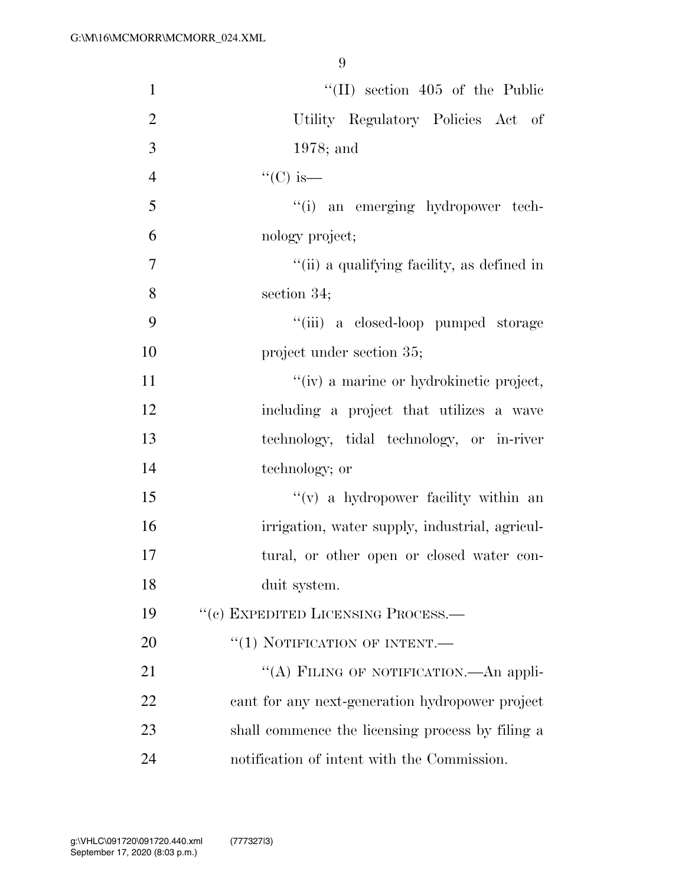| $\mathbf{1}$   | $\lq$ (II) section 405 of the Public             |
|----------------|--------------------------------------------------|
| $\overline{2}$ | Utility Regulatory Policies Act of               |
| 3              | $1978$ ; and                                     |
| $\overline{4}$ | $\lq\lq$ (C) is —                                |
| 5              | "(i) an emerging hydropower tech-                |
| 6              | nology project;                                  |
| $\tau$         | "(ii) a qualifying facility, as defined in       |
| 8              | section $34$ ;                                   |
| 9              | "(iii) a closed-loop pumped storage              |
| 10             | project under section 35;                        |
| 11             | "(iv) a marine or hydrokinetic project,          |
| 12             | including a project that utilizes a wave         |
| 13             | technology, tidal technology, or in-river        |
| 14             | technology; or                                   |
| 15             | $f'(v)$ a hydropower facility within an          |
| 16             | irrigation, water supply, industrial, agricul-   |
| 17             | tural, or other open or closed water con-        |
| 18             | duit system.                                     |
| 19             | "(c) EXPEDITED LICENSING PROCESS.—               |
| 20             | $``(1)$ NOTIFICATION OF INTENT.—                 |
| 21             | "(A) FILING OF NOTIFICATION. An appli-           |
| 22             | cant for any next-generation hydropower project  |
| 23             | shall commence the licensing process by filing a |
| 24             | notification of intent with the Commission.      |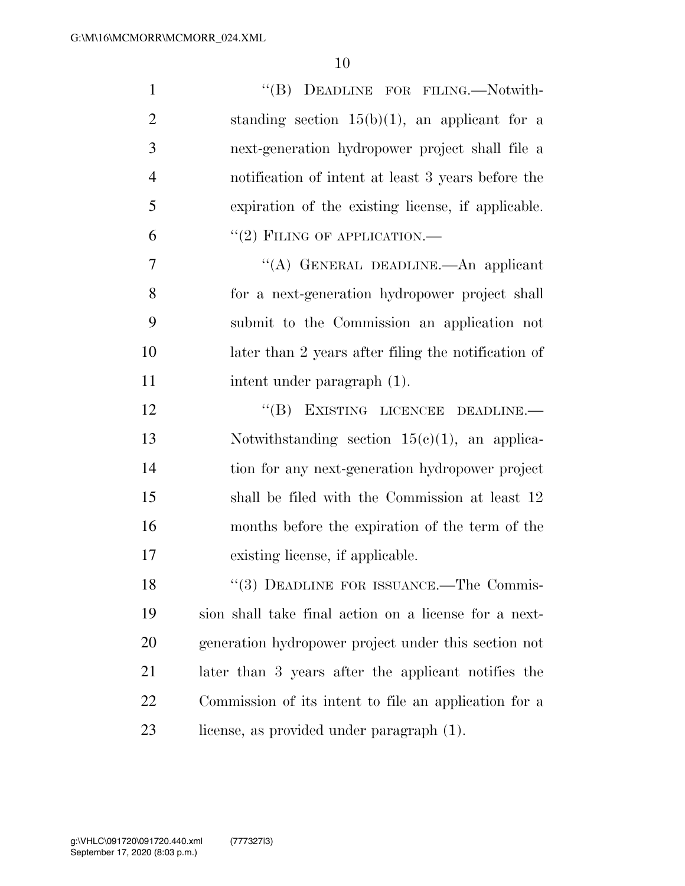| $\mathbf{1}$   | "(B) DEADLINE FOR FILING.—Notwith-                    |
|----------------|-------------------------------------------------------|
| $\overline{2}$ | standing section $15(b)(1)$ , an applicant for a      |
| 3              | next-generation hydropower project shall file a       |
| $\overline{4}$ | notification of intent at least 3 years before the    |
| 5              | expiration of the existing license, if applicable.    |
| 6              | $``(2)$ FILING OF APPLICATION.—                       |
| 7              | "(A) GENERAL DEADLINE.—An applicant                   |
| 8              | for a next-generation hydropower project shall        |
| 9              | submit to the Commission an application not           |
| 10             | later than 2 years after filing the notification of   |
| 11             | intent under paragraph (1).                           |
| 12             | "(B) EXISTING LICENCEE DEADLINE.-                     |
| 13             | Notwithstanding section $15(c)(1)$ , an applica-      |
| 14             | tion for any next-generation hydropower project       |
| 15             | shall be filed with the Commission at least 12        |
| 16             | months before the expiration of the term of the       |
| 17             | existing license, if applicable.                      |
| 18             | "(3) DEADLINE FOR ISSUANCE.—The Commis-               |
| 19             | sion shall take final action on a license for a next- |
| 20             | generation hydropower project under this section not  |
| 21             | later than 3 years after the applicant notifies the   |
| 22             | Commission of its intent to file an application for a |
| 23             | license, as provided under paragraph (1).             |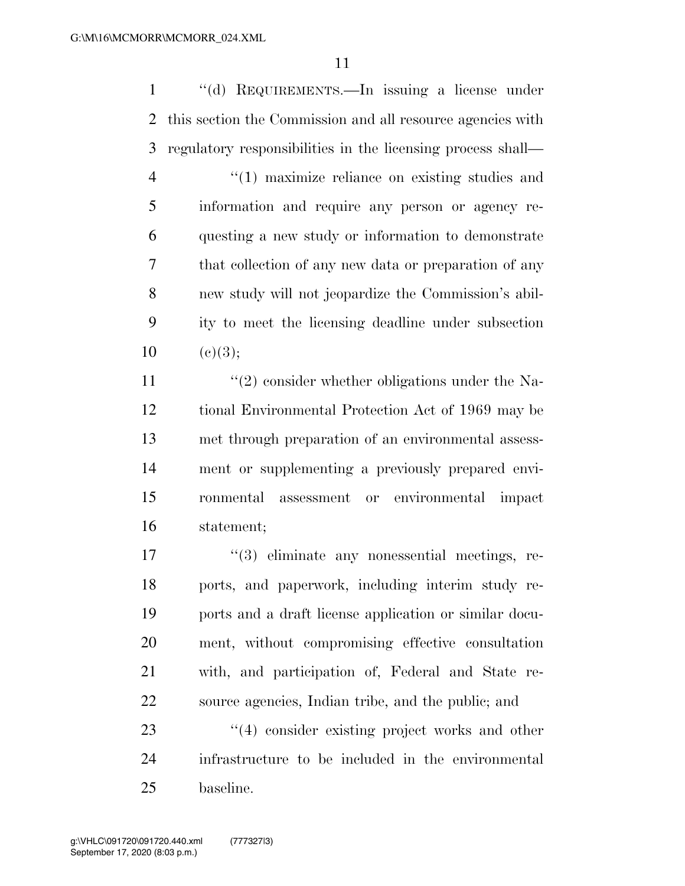''(d) REQUIREMENTS.—In issuing a license under this section the Commission and all resource agencies with regulatory responsibilities in the licensing process shall— ''(1) maximize reliance on existing studies and information and require any person or agency re- questing a new study or information to demonstrate that collection of any new data or preparation of any new study will not jeopardize the Commission's abil- ity to meet the licensing deadline under subsection  $10 \quad (e)(3);$ 

 $\frac{1}{2}$  consider whether obligations under the Na- tional Environmental Protection Act of 1969 may be met through preparation of an environmental assess- ment or supplementing a previously prepared envi- ronmental assessment or environmental impact statement;

 ''(3) eliminate any nonessential meetings, re- ports, and paperwork, including interim study re- ports and a draft license application or similar docu- ment, without compromising effective consultation with, and participation of, Federal and State re-source agencies, Indian tribe, and the public; and

23 ''(4) consider existing project works and other infrastructure to be included in the environmental baseline.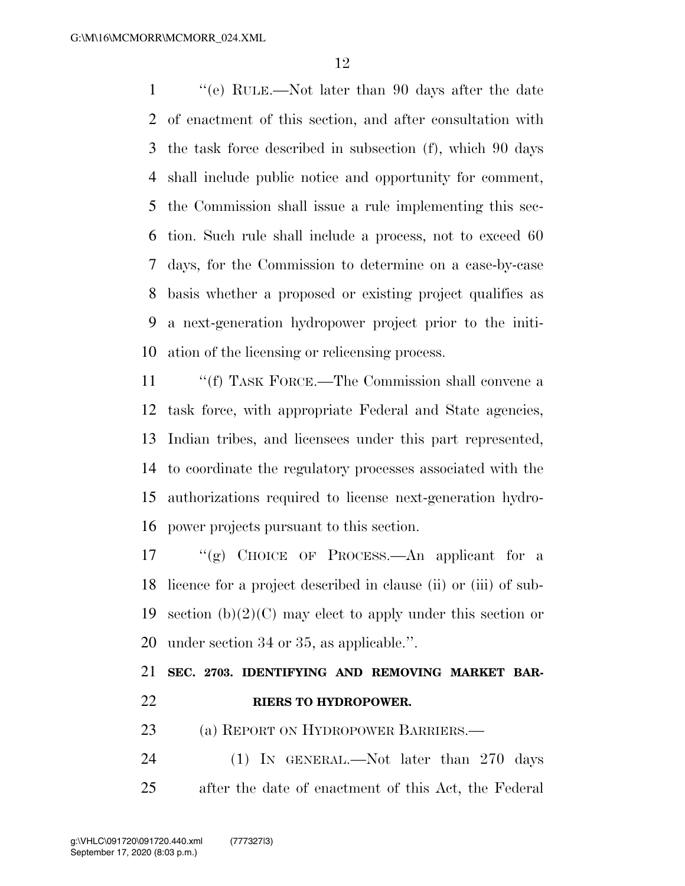''(e) RULE.—Not later than 90 days after the date of enactment of this section, and after consultation with the task force described in subsection (f), which 90 days shall include public notice and opportunity for comment, the Commission shall issue a rule implementing this sec- tion. Such rule shall include a process, not to exceed 60 days, for the Commission to determine on a case-by-case basis whether a proposed or existing project qualifies as a next-generation hydropower project prior to the initi-ation of the licensing or relicensing process.

11 ""(f) TASK FORCE.—The Commission shall convene a task force, with appropriate Federal and State agencies, Indian tribes, and licensees under this part represented, to coordinate the regulatory processes associated with the authorizations required to license next-generation hydro-power projects pursuant to this section.

 ''(g) CHOICE OF PROCESS.—An applicant for a licence for a project described in clause (ii) or (iii) of sub-19 section  $(b)(2)(C)$  may elect to apply under this section or under section 34 or 35, as applicable.''.

 **SEC. 2703. IDENTIFYING AND REMOVING MARKET BAR-RIERS TO HYDROPOWER.** 

23 (a) REPORT ON HYDROPOWER BARRIERS.—

24 (1) IN GENERAL.—Not later than 270 days after the date of enactment of this Act, the Federal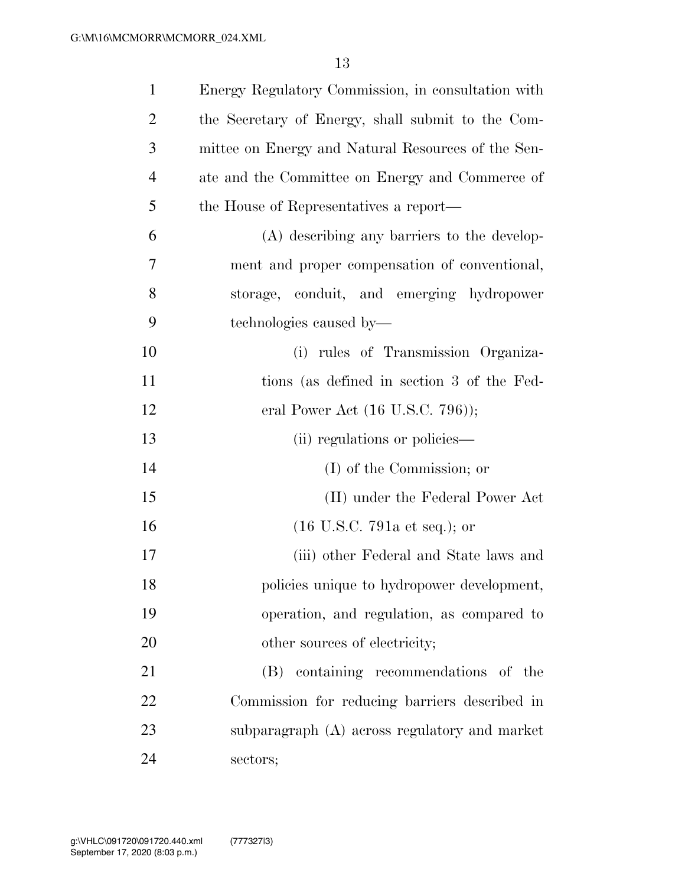| $\mathbf{1}$   | Energy Regulatory Commission, in consultation with |
|----------------|----------------------------------------------------|
| $\overline{2}$ | the Secretary of Energy, shall submit to the Com-  |
| 3              | mittee on Energy and Natural Resources of the Sen- |
| $\overline{4}$ | ate and the Committee on Energy and Commerce of    |
| 5              | the House of Representatives a report—             |
| 6              | (A) describing any barriers to the develop-        |
| 7              | ment and proper compensation of conventional,      |
| 8              | storage, conduit, and emerging hydropower          |
| 9              | technologies caused by—                            |
| 10             | (i) rules of Transmission Organiza-                |
| 11             | tions (as defined in section 3 of the Fed-         |
| 12             | eral Power Act $(16 \text{ U.S.C. } 796)$ ;        |
| 13             | (ii) regulations or policies—                      |
| 14             | (I) of the Commission; or                          |
| 15             | (II) under the Federal Power Act                   |
| 16             | $(16 \text{ U.S.C. } 791a \text{ et seq.});$ or    |
| 17             | (iii) other Federal and State laws and             |
| 18             | policies unique to hydropower development,         |
| 19             | operation, and regulation, as compared to          |
| 20             | other sources of electricity;                      |
| 21             | (B) containing recommendations of the              |
| 22             | Commission for reducing barriers described in      |
| 23             | subparagraph (A) across regulatory and market      |
| 24             | sectors;                                           |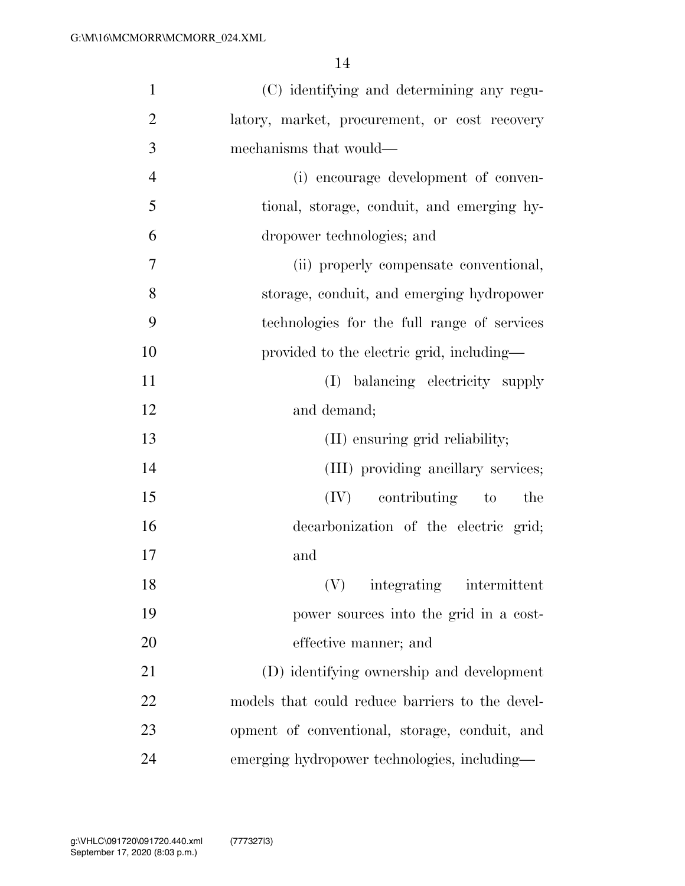| $\mathbf{1}$   | (C) identifying and determining any regu-       |
|----------------|-------------------------------------------------|
| $\overline{2}$ | latory, market, procurement, or cost recovery   |
| 3              | mechanisms that would—                          |
| $\overline{4}$ | (i) encourage development of conven-            |
| 5              | tional, storage, conduit, and emerging hy-      |
| 6              | dropower technologies; and                      |
| 7              | (ii) properly compensate conventional,          |
| 8              | storage, conduit, and emerging hydropower       |
| 9              | technologies for the full range of services     |
| 10             | provided to the electric grid, including—       |
| 11             | (I) balancing electricity supply                |
| 12             | and demand;                                     |
| 13             | (II) ensuring grid reliability;                 |
| 14             | (III) providing ancillary services;             |
| 15             | $(IV)$ contributing to<br>the                   |
| 16             | decarbonization of the electric grid;           |
| 17             | and                                             |
| 18             | integrating<br>intermittent                     |
| 19             | power sources into the grid in a cost-          |
| 20             | effective manner; and                           |
| 21             | (D) identifying ownership and development       |
| 22             | models that could reduce barriers to the devel- |
| 23             | opment of conventional, storage, conduit, and   |
| 24             | emerging hydropower technologies, including-    |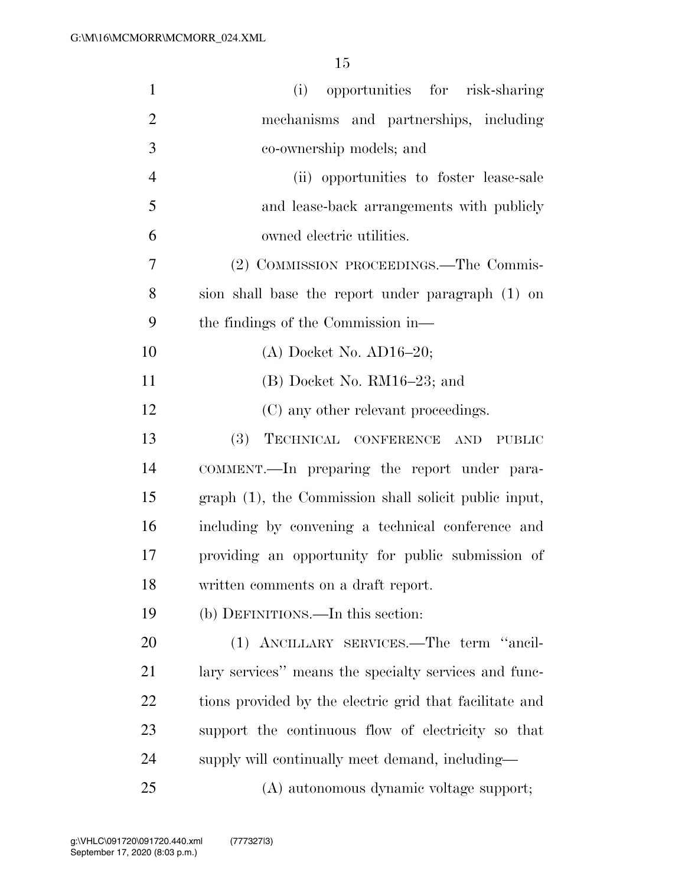| $\mathbf{1}$   | (i) opportunities for risk-sharing                      |
|----------------|---------------------------------------------------------|
| $\overline{2}$ | mechanisms and partnerships, including                  |
| 3              | co-ownership models; and                                |
| $\overline{4}$ | (ii) opportunities to foster lease-sale                 |
| 5              | and lease-back arrangements with publicly               |
| 6              | owned electric utilities.                               |
| 7              | (2) COMMISSION PROCEEDINGS.—The Commis-                 |
| 8              | sion shall base the report under paragraph (1) on       |
| 9              | the findings of the Commission in—                      |
| 10             | $(A)$ Docket No. $AD16-20$ ;                            |
| 11             | $(B)$ Docket No. RM16-23; and                           |
| 12             | (C) any other relevant proceedings.                     |
| 13             | (3)<br>TECHNICAL CONFERENCE AND<br><b>PUBLIC</b>        |
| 14             | COMMENT.—In preparing the report under para-            |
| 15             | graph (1), the Commission shall solicit public input,   |
| 16             | including by convening a technical conference and       |
| 17             | providing an opportunity for public submission of       |
| 18             | written comments on a draft report.                     |
| 19             | (b) DEFINITIONS.—In this section:                       |
| 20             | (1) ANCILLARY SERVICES.-The term "ancil-                |
| 21             | lary services" means the specialty services and func-   |
| 22             | tions provided by the electric grid that facilitate and |
| 23             | support the continuous flow of electricity so that      |
| 24             | supply will continually meet demand, including—         |
| 25             | (A) autonomous dynamic voltage support;                 |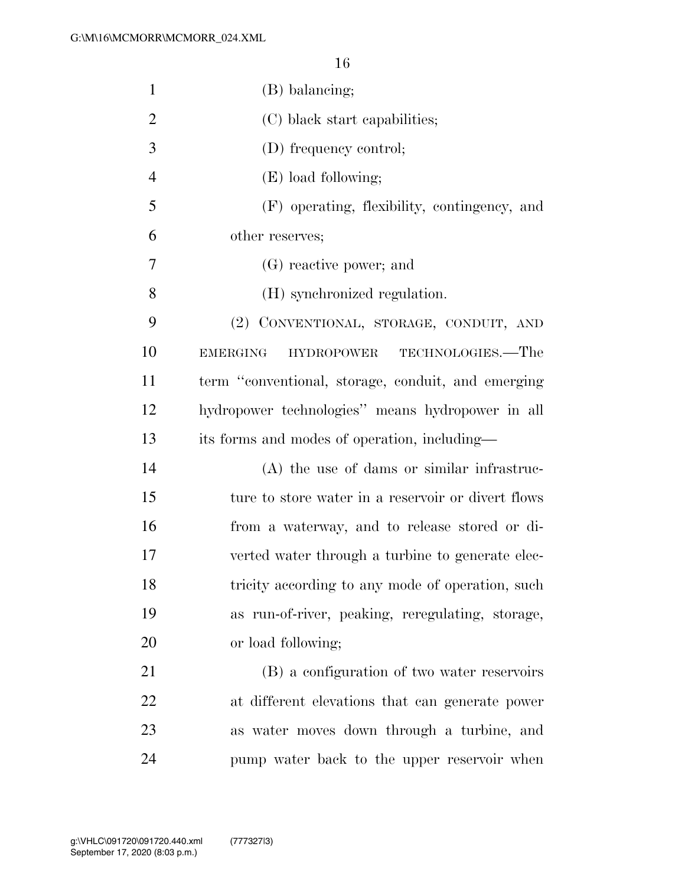| $\mathbf{1}$   | (B) balancing;                                            |
|----------------|-----------------------------------------------------------|
| $\overline{2}$ | (C) black start capabilities;                             |
| 3              | (D) frequency control;                                    |
| $\overline{4}$ | (E) load following;                                       |
| 5              | (F) operating, flexibility, contingency, and              |
| 6              | other reserves;                                           |
| 7              | (G) reactive power; and                                   |
| 8              | (H) synchronized regulation.                              |
| 9              | (2) CONVENTIONAL, STORAGE, CONDUIT, AND                   |
| 10             | TECHNOLOGIES.—The<br><b>EMERGING</b><br><b>HYDROPOWER</b> |
| 11             | term "conventional, storage, conduit, and emerging        |
| 12             | hydropower technologies" means hydropower in all          |
| 13             | its forms and modes of operation, including—              |
| 14             | (A) the use of dams or similar infrastruc-                |
| 15             | ture to store water in a reservoir or divert flows        |
| 16             | from a waterway, and to release stored or di-             |
| 17             | verted water through a turbine to generate elec-          |
| 18             | tricity according to any mode of operation, such          |
| 19             | as run-of-river, peaking, reregulating, storage,          |
| 20             | or load following;                                        |
| 21             | (B) a configuration of two water reservoirs               |
| 22             | at different elevations that can generate power           |
| 23             | as water moves down through a turbine, and                |
| 24             | pump water back to the upper reservoir when               |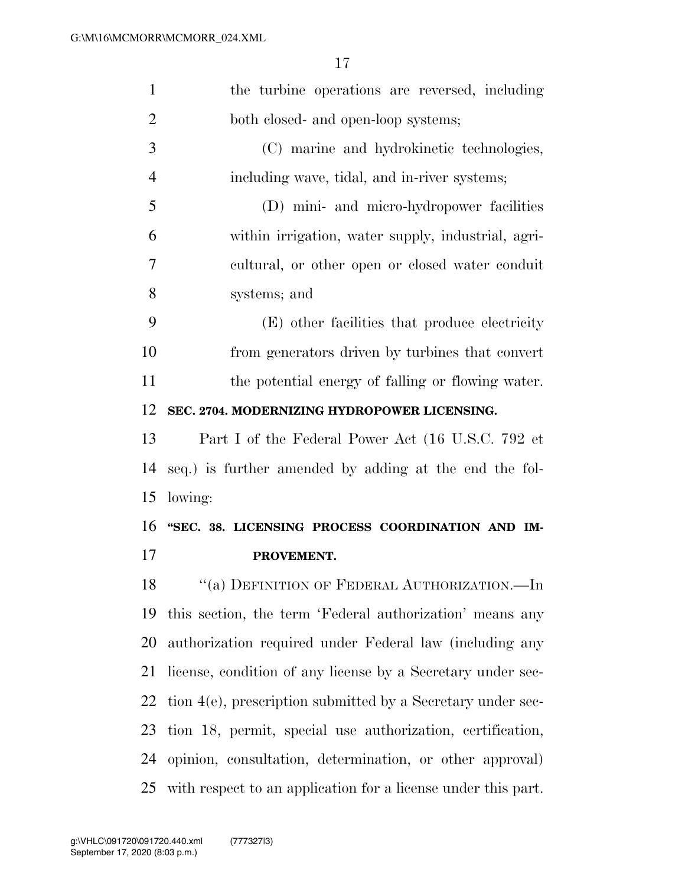| $\mathbf{1}$   | the turbine operations are reversed, including                |
|----------------|---------------------------------------------------------------|
| $\overline{2}$ | both closed- and open-loop systems;                           |
| 3              | (C) marine and hydrokinetic technologies,                     |
| $\overline{4}$ | including wave, tidal, and in-river systems;                  |
| 5              | (D) mini- and micro-hydropower facilities                     |
| 6              | within irrigation, water supply, industrial, agri-            |
| 7              | cultural, or other open or closed water conduit               |
| 8              | systems; and                                                  |
| 9              | (E) other facilities that produce electricity                 |
| 10             | from generators driven by turbines that convert               |
| 11             | the potential energy of falling or flowing water.             |
| 12             | SEC. 2704. MODERNIZING HYDROPOWER LICENSING.                  |
| 13             | Part I of the Federal Power Act (16 U.S.C. 792 et             |
| 14             | seq.) is further amended by adding at the end the fol-        |
| 15             | lowing:                                                       |
| 16             | "SEC. 38. LICENSING PROCESS COORDINATION AND IM-              |
| 17             | PROVEMENT.                                                    |
| 18             | $``(a)$ DEFINITION OF FEDERAL AUTHORIZATION.—In               |
| 19             | this section, the term 'Federal authorization' means any      |
| 20             | authorization required under Federal law (including any       |
| 21             | license, condition of any license by a Secretary under sec-   |
| 22             | tion 4(e), prescription submitted by a Secretary under sec-   |
| 23             | tion 18, permit, special use authorization, certification,    |
| 24             | opinion, consultation, determination, or other approval)      |
| 25             | with respect to an application for a license under this part. |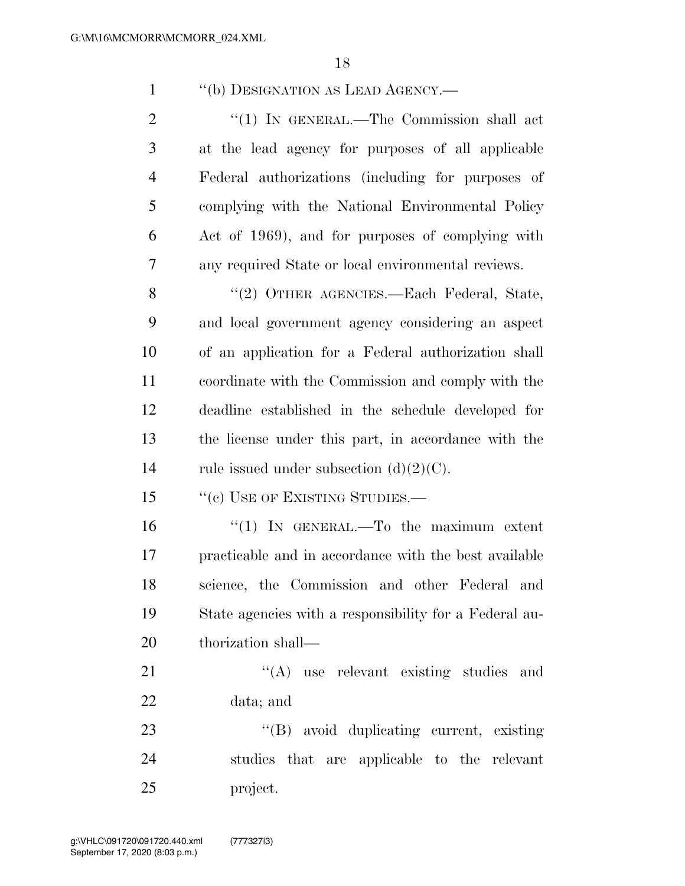| $\mathbf{1}$   | "(b) DESIGNATION AS LEAD AGENCY.-                      |
|----------------|--------------------------------------------------------|
| $\overline{2}$ | "(1) IN GENERAL.—The Commission shall act              |
| 3              | at the lead agency for purposes of all applicable      |
| $\overline{4}$ | Federal authorizations (including for purposes of      |
| 5              | complying with the National Environmental Policy       |
| 6              | Act of 1969), and for purposes of complying with       |
| 7              | any required State or local environmental reviews.     |
| 8              | "(2) OTHER AGENCIES.—Each Federal, State,              |
| 9              | and local government agency considering an aspect      |
| 10             | of an application for a Federal authorization shall    |
| 11             | coordinate with the Commission and comply with the     |
| 12             | deadline established in the schedule developed for     |
| 13             | the license under this part, in accordance with the    |
| 14             | rule issued under subsection $(d)(2)(C)$ .             |
| 15             | "(c) USE OF EXISTING STUDIES.—                         |
| 16             | "(1) IN GENERAL.—To the maximum extent                 |
| 17             | practicable and in accordance with the best available  |
| 18             | science, the Commission and other Federal and          |
| 19             | State agencies with a responsibility for a Federal au- |
| 20             | thorization shall—                                     |
| 21             | $\lq\lq$ use relevant existing studies and             |
| 22             | data; and                                              |
| 23             | "(B) avoid duplicating current, existing               |
| 24             | studies that are applicable to the relevant            |
| 25             | project.                                               |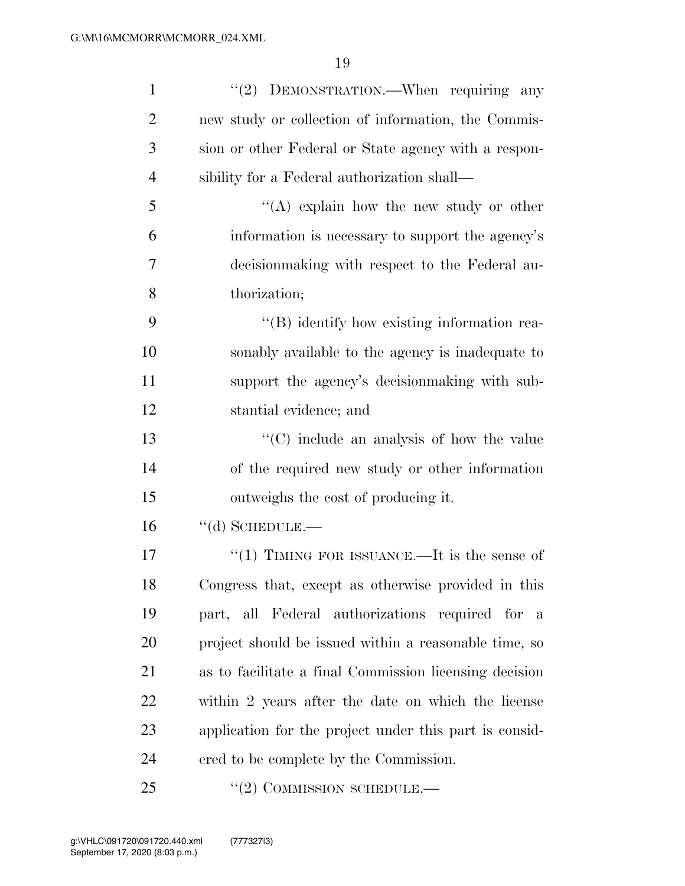| $\mathbf{1}$   | "(2) DEMONSTRATION.—When requiring any                 |
|----------------|--------------------------------------------------------|
| $\overline{2}$ | new study or collection of information, the Commis-    |
| 3              | sion or other Federal or State agency with a respon-   |
| $\overline{4}$ | sibility for a Federal authorization shall—            |
| 5              | "(A) explain how the new study or other                |
| 6              | information is necessary to support the agency's       |
| 7              | decision making with respect to the Federal au-        |
| 8              | thorization;                                           |
| 9              | $\lq\lq (B)$ identify how existing information rea-    |
| 10             | sonably available to the agency is inadequate to       |
| 11             | support the agency's decision making with sub-         |
| 12             | stantial evidence; and                                 |
| 13             | $\lq\lq$ include an analysis of how the value          |
| 14             | of the required new study or other information         |
| 15             | outweighs the cost of producing it.                    |
| 16             | $``$ (d) SCHEDULE.—                                    |
| 17             | "(1) TIMING FOR ISSUANCE.—It is the sense of           |
| 18             | Congress that, except as otherwise provided in this    |
| 19             | part, all Federal authorizations required for a        |
| 20             | project should be issued within a reasonable time, so  |
| 21             | as to facilitate a final Commission licensing decision |
| 22             | within 2 years after the date on which the license     |
| 23             | application for the project under this part is consid- |
| 24             | ered to be complete by the Commission.                 |
| 25             | "(2) COMMISSION SCHEDULE.—                             |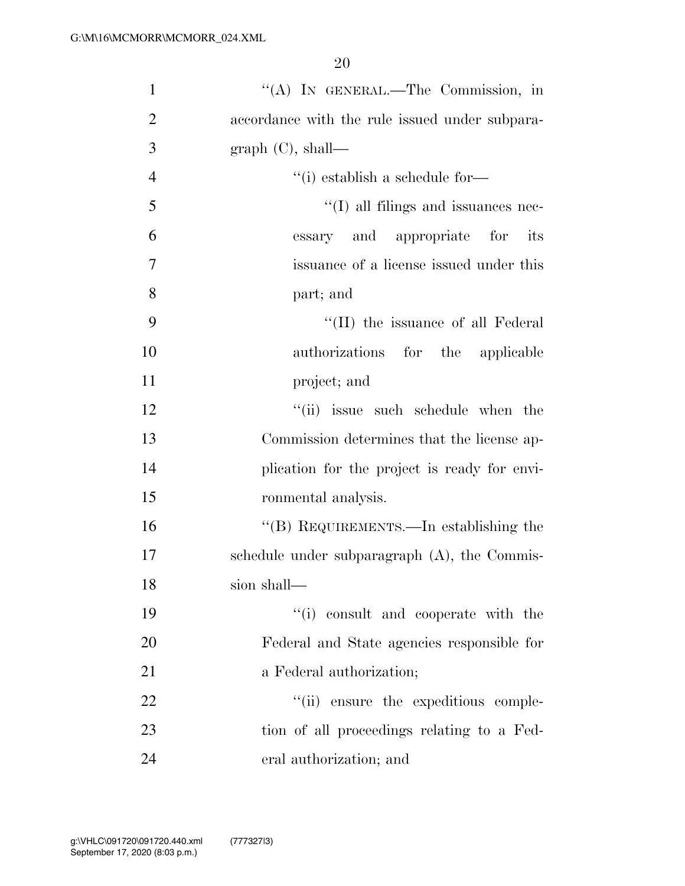| $\mathbf{1}$   | "(A) IN GENERAL.—The Commission, in              |
|----------------|--------------------------------------------------|
| $\overline{2}$ | accordance with the rule issued under subpara-   |
| 3              | graph $(C)$ , shall—                             |
| $\overline{4}$ | $\lq$ <sup>"</sup> (i) establish a schedule for- |
| 5              | $\lq\lq$ (I) all filings and issuances nec-      |
| 6              | essary and appropriate for its                   |
| 7              | issuance of a license issued under this          |
| 8              | part; and                                        |
| 9              | "(II) the issuance of all Federal                |
| 10             | authorizations for the applicable                |
| 11             | project; and                                     |
| 12             | "(ii) issue such schedule when the               |
| 13             | Commission determines that the license ap-       |
| 14             | plication for the project is ready for envi-     |
| 15             | ronmental analysis.                              |
| 16             | "(B) REQUIREMENTS.—In establishing the           |
| 17             | schedule under subparagraph (A), the Commis-     |
| 18             | sion shall—                                      |
| 19             | "(i) consult and cooperate with the              |
| 20             | Federal and State agencies responsible for       |
| 21             | a Federal authorization;                         |
| 22             | "(ii) ensure the expeditious comple-             |
| 23             | tion of all proceedings relating to a Fed-       |
| 24             | eral authorization; and                          |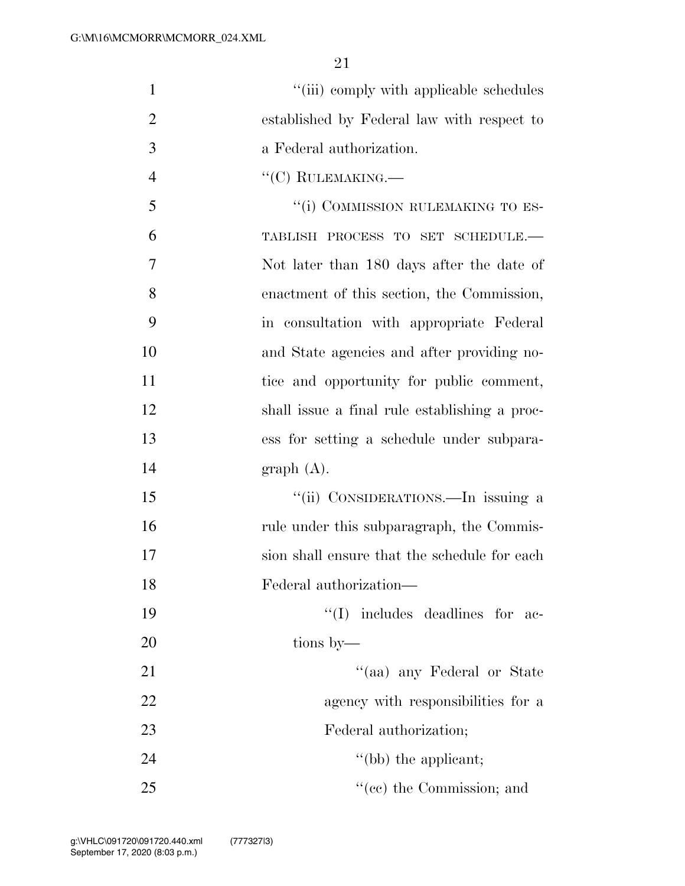| $\mathbf{1}$   | "(iii) comply with applicable schedules       |
|----------------|-----------------------------------------------|
| $\overline{2}$ | established by Federal law with respect to    |
| 3              | a Federal authorization.                      |
| $\overline{4}$ | $``(C)$ RULEMAKING.—                          |
| 5              | "(i) COMMISSION RULEMAKING TO ES-             |
| 6              | TABLISH PROCESS TO SET SCHEDULE.-             |
| 7              | Not later than 180 days after the date of     |
| 8              | enactment of this section, the Commission,    |
| 9              | in consultation with appropriate Federal      |
| 10             | and State agencies and after providing no-    |
| 11             | tice and opportunity for public comment,      |
| 12             | shall issue a final rule establishing a proc- |
| 13             | ess for setting a schedule under subpara-     |
| 14             | graph(A).                                     |
| 15             | "(ii) CONSIDERATIONS.—In issuing a            |
| 16             | rule under this subparagraph, the Commis-     |
| 17             | sion shall ensure that the schedule for each  |
| 18             | Federal authorization-                        |
| 19             | "(I) includes deadlines for ac-               |
| 20             | tions by—                                     |
| 21             | "(aa) any Federal or State                    |
| 22             | agency with responsibilities for a            |
| 23             | Federal authorization;                        |
| 24             | $\lq\lq(b)$ the applicant;                    |
|                |                                               |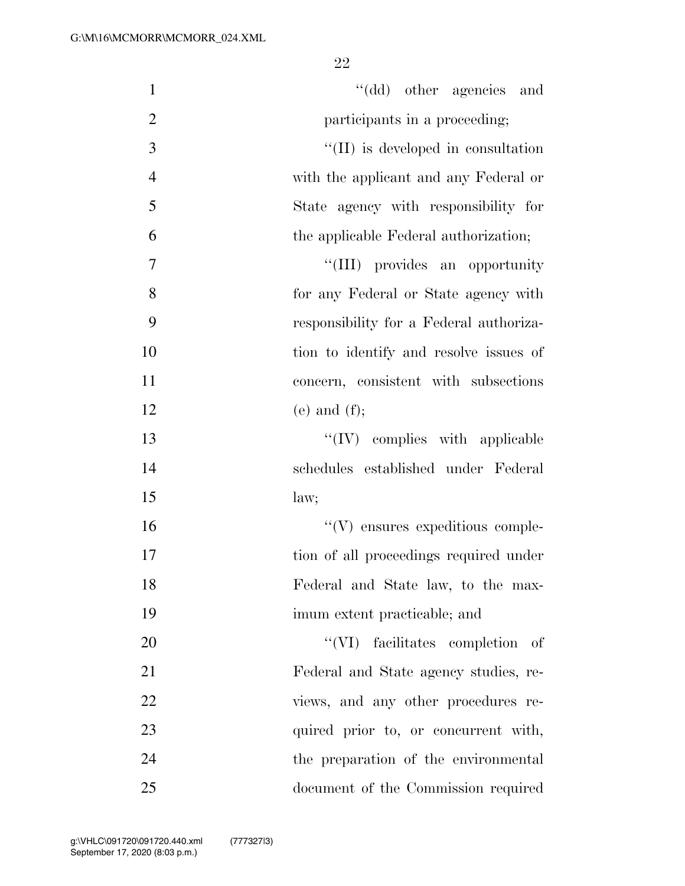| $\mathbf{1}$   | "(dd) other agencies and                |
|----------------|-----------------------------------------|
| $\overline{2}$ | participants in a proceeding;           |
| $\mathfrak{Z}$ | "(II) is developed in consultation      |
| $\overline{4}$ | with the applicant and any Federal or   |
| 5              | State agency with responsibility for    |
| 6              | the applicable Federal authorization;   |
| $\tau$         | "(III) provides an opportunity          |
| 8              | for any Federal or State agency with    |
| 9              | responsibility for a Federal authoriza- |
| 10             | tion to identify and resolve issues of  |
| 11             | concern, consistent with subsections    |
| 12             | $(e)$ and $(f)$ ;                       |
| 13             | $\lq\lq$ (IV) complies with applicable  |
| 14             | schedules established under Federal     |
| 15             | law;                                    |
| 16             | $\lq\lq(V)$ ensures expeditious comple- |
| 17             | tion of all proceedings required under  |
| 18             | Federal and State law, to the max-      |
| 19             | imum extent practicable; and            |
| 20             | "(VI) facilitates completion of         |
| 21             | Federal and State agency studies, re-   |
| 22             | views, and any other procedures re-     |
| 23             | quired prior to, or concurrent with,    |
| 24             | the preparation of the environmental    |
| 25             | document of the Commission required     |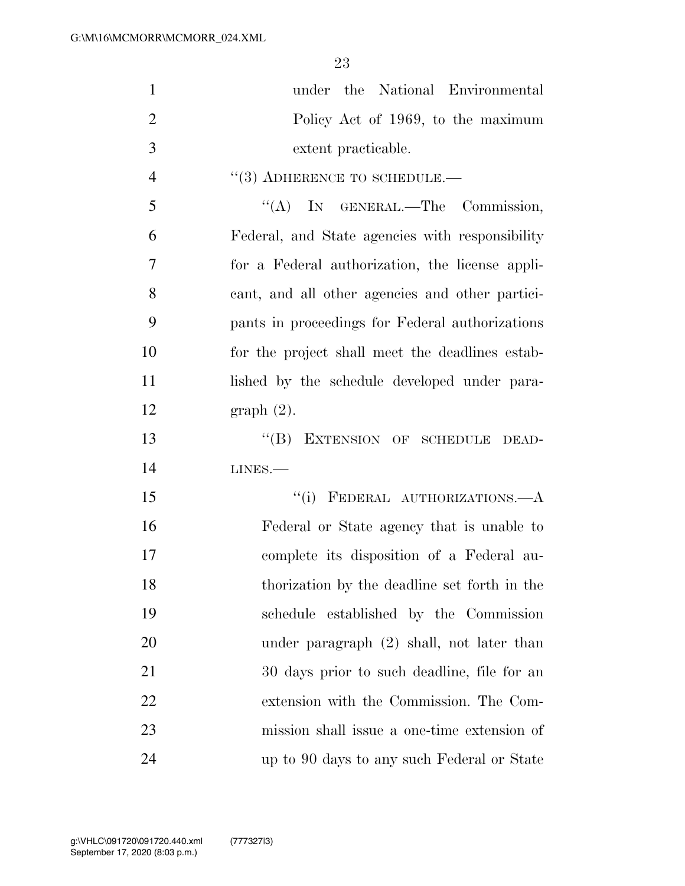| $\mathbf{1}$   | the National Environmental<br>under             |
|----------------|-------------------------------------------------|
| $\overline{2}$ | Policy Act of 1969, to the maximum              |
| 3              | extent practicable.                             |
| $\overline{4}$ | $\cdot\cdot$ (3) ADHERENCE TO SCHEDULE.—        |
| 5              | "(A) IN GENERAL.—The Commission,                |
| 6              | Federal, and State agencies with responsibility |
| $\overline{7}$ | for a Federal authorization, the license appli- |
| 8              | cant, and all other agencies and other partici- |
| 9              | pants in proceedings for Federal authorizations |
| 10             | for the project shall meet the deadlines estab- |
| 11             | lished by the schedule developed under para-    |
| 12             | graph(2).                                       |
| 13             | EXTENSION OF SCHEDULE DEAD-<br>$\lq\lq (B)$     |
| 14             | $LINES. -$                                      |
| 15             | "(i) FEDERAL AUTHORIZATIONS.- A                 |
| 16             | Federal or State agency that is unable to       |
| 17             | complete its disposition of a Federal au-       |
| 18             | thorization by the deadline set forth in the    |
| 19             | schedule established by the Commission          |
| 20             | under paragraph $(2)$ shall, not later than     |
| 21             | 30 days prior to such deadline, file for an     |
| 22             | extension with the Commission. The Com-         |
| 23             | mission shall issue a one-time extension of     |
| 24             | up to 90 days to any such Federal or State      |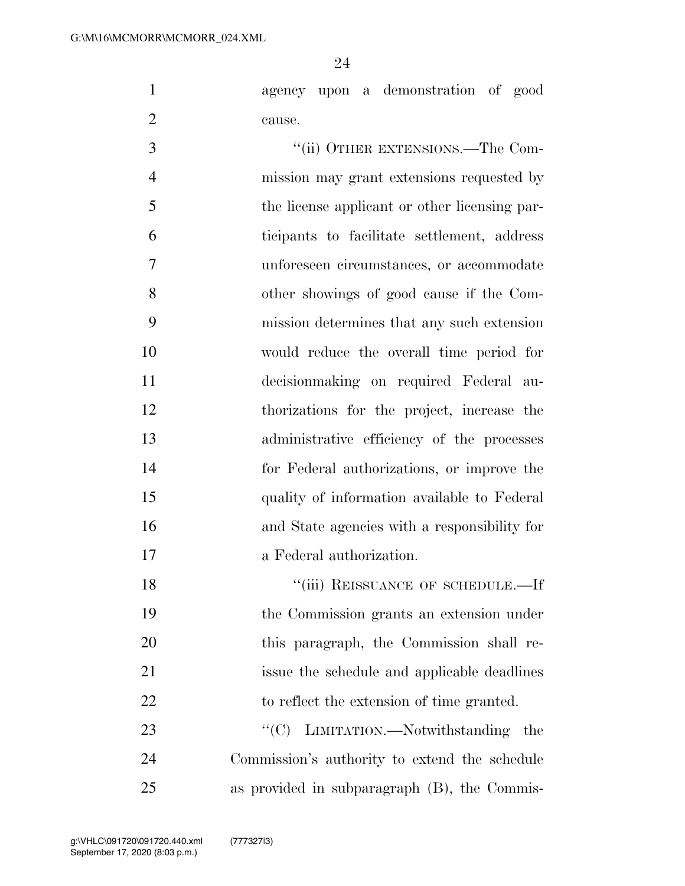agency upon a demonstration of good cause.

3 "(ii) OTHER EXTENSIONS.—The Com- mission may grant extensions requested by the license applicant or other licensing par- ticipants to facilitate settlement, address unforeseen circumstances, or accommodate other showings of good cause if the Com- mission determines that any such extension would reduce the overall time period for decisionmaking on required Federal au- thorizations for the project, increase the administrative efficiency of the processes for Federal authorizations, or improve the quality of information available to Federal and State agencies with a responsibility for a Federal authorization. 18 "(iii) REISSUANCE OF SCHEDULE.—If the Commission grants an extension under this paragraph, the Commission shall re-

 issue the schedule and applicable deadlines 22 to reflect the extension of time granted. 23  $C(C)$  LIMITATION.—Notwithstanding the

 Commission's authority to extend the schedule as provided in subparagraph (B), the Commis-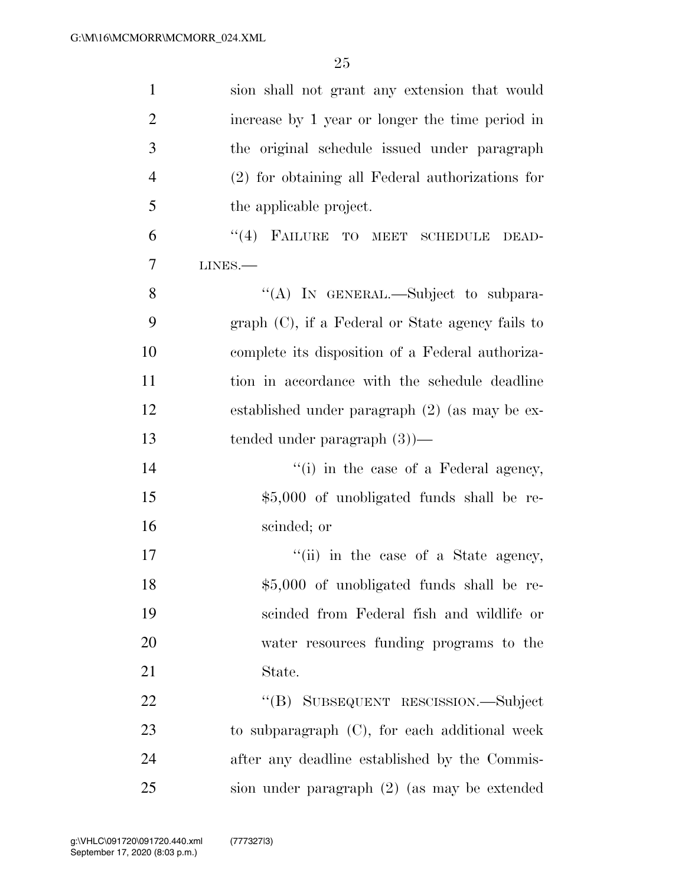| $\mathbf{1}$   | sion shall not grant any extension that would       |
|----------------|-----------------------------------------------------|
| $\overline{2}$ | increase by 1 year or longer the time period in     |
| 3              | the original schedule issued under paragraph        |
| $\overline{4}$ | $(2)$ for obtaining all Federal authorizations for  |
| 5              | the applicable project.                             |
| 6              | "(4) FAILURE TO MEET SCHEDULE DEAD-                 |
| $\overline{7}$ | $LINES. -$                                          |
| 8              | "(A) IN GENERAL.—Subject to subpara-                |
| 9              | $graph (C)$ , if a Federal or State agency fails to |
| 10             | complete its disposition of a Federal authoriza-    |
| 11             | tion in accordance with the schedule deadline       |
| 12             | established under paragraph $(2)$ (as may be ex-    |
| 13             | tended under paragraph $(3)$ )—                     |
| 14             | "(i) in the case of a Federal agency,               |
| 15             | \$5,000 of unobligated funds shall be re-           |
| 16             | scinded; or                                         |
| 17             | "(ii) in the case of a State agency,                |
| 18             | \$5,000 of unobligated funds shall be re-           |
| 19             | scinded from Federal fish and wildlife or           |
| 20             | water resources funding programs to the             |
| 21             | State.                                              |
| 22             | "(B) SUBSEQUENT RESCISSION.—Subject                 |
| 23             | to subparagraph $(C)$ , for each additional week    |
| 24             | after any deadline established by the Commis-       |
| 25             | sion under paragraph (2) (as may be extended        |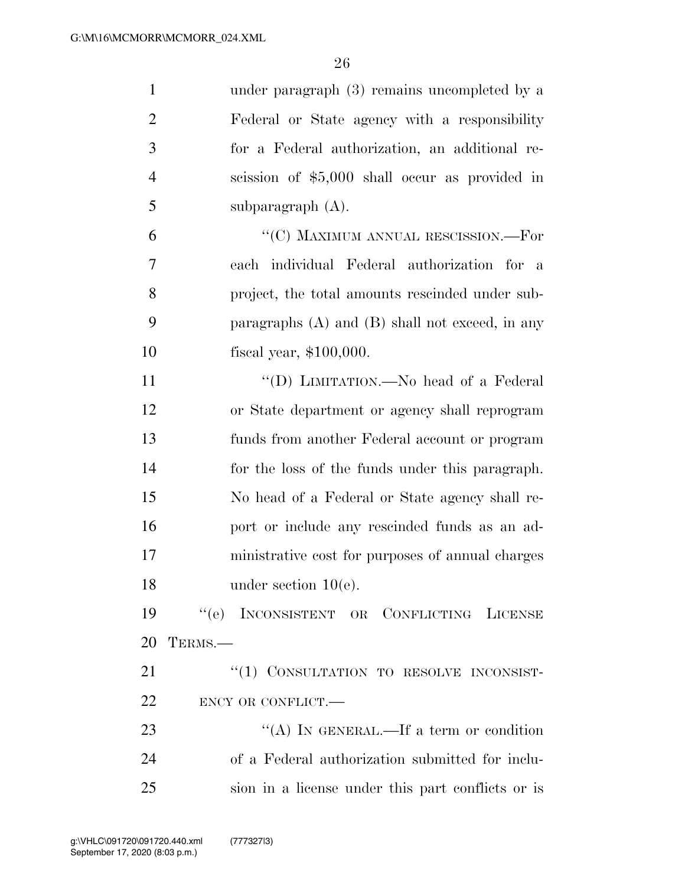| $\mathbf{1}$   | under paragraph $(3)$ remains uncompleted by a      |
|----------------|-----------------------------------------------------|
| $\overline{2}$ | Federal or State agency with a responsibility       |
| 3              | for a Federal authorization, an additional re-      |
| $\overline{4}$ | scission of \$5,000 shall occur as provided in      |
| 5              | subparagraph $(A)$ .                                |
| 6              | "(C) MAXIMUM ANNUAL RESCISSION.—For                 |
| 7              | each individual Federal authorization for a         |
| 8              | project, the total amounts rescinded under sub-     |
| 9              | paragraphs $(A)$ and $(B)$ shall not exceed, in any |
| 10             | fiscal year, $$100,000$ .                           |
| 11             | "(D) LIMITATION.—No head of a Federal               |
| 12             | or State department or agency shall reprogram       |
| 13             | funds from another Federal account or program       |
| 14             | for the loss of the funds under this paragraph.     |
| 15             | No head of a Federal or State agency shall re-      |
| 16             | port or include any rescinded funds as an ad-       |
| 17             | ministrative cost for purposes of annual charges    |
| 18             | under section $10(e)$ .                             |
| 19             | "(e) INCONSISTENT OR CONFLICTING LICENSE            |
| 20             | TERMS.-                                             |
| 21             | "(1) CONSULTATION TO RESOLVE INCONSIST-             |
| 22             | ENCY OR CONFLICT.                                   |
| 23             | "(A) IN GENERAL.—If a term or condition             |
| 24             | of a Federal authorization submitted for inclu-     |
| 25             | sion in a license under this part conflicts or is   |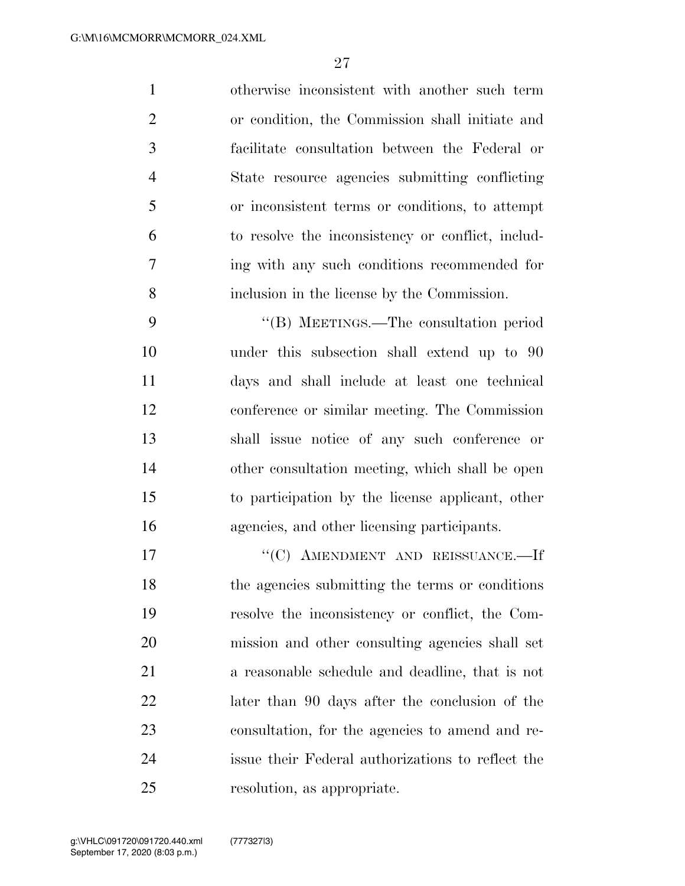otherwise inconsistent with another such term or condition, the Commission shall initiate and facilitate consultation between the Federal or State resource agencies submitting conflicting or inconsistent terms or conditions, to attempt to resolve the inconsistency or conflict, includ- ing with any such conditions recommended for inclusion in the license by the Commission.

 ''(B) MEETINGS.—The consultation period under this subsection shall extend up to 90 days and shall include at least one technical conference or similar meeting. The Commission shall issue notice of any such conference or other consultation meeting, which shall be open to participation by the license applicant, other agencies, and other licensing participants.

17 "'(C) AMENDMENT AND REISSUANCE.—If the agencies submitting the terms or conditions resolve the inconsistency or conflict, the Com- mission and other consulting agencies shall set a reasonable schedule and deadline, that is not later than 90 days after the conclusion of the consultation, for the agencies to amend and re- issue their Federal authorizations to reflect the resolution, as appropriate.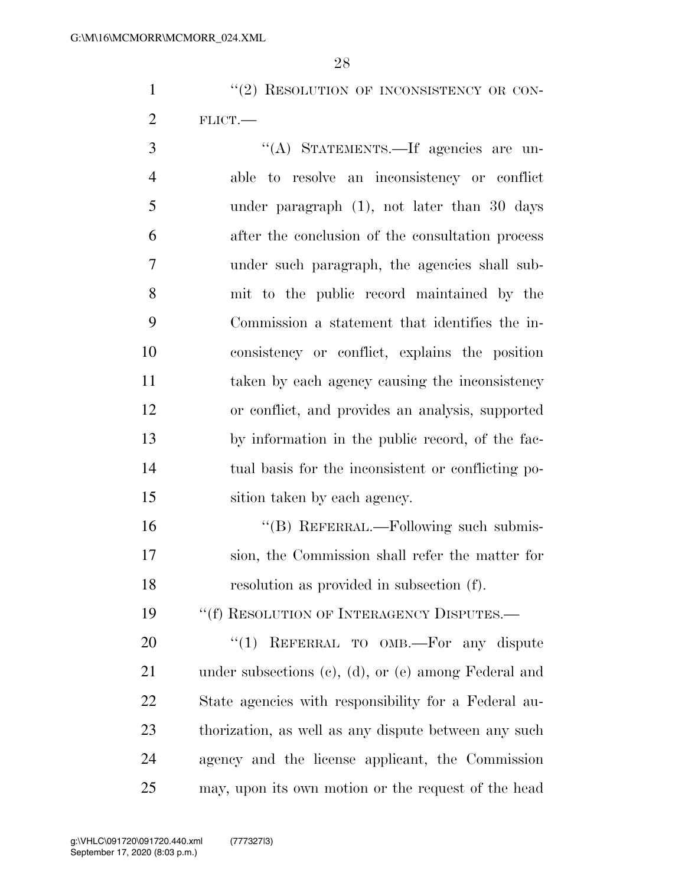1 "(2) RESOLUTION OF INCONSISTENCY OR CON-FLICT.—

 ''(A) STATEMENTS.—If agencies are un- able to resolve an inconsistency or conflict under paragraph (1), not later than 30 days after the conclusion of the consultation process under such paragraph, the agencies shall sub- mit to the public record maintained by the Commission a statement that identifies the in- consistency or conflict, explains the position taken by each agency causing the inconsistency or conflict, and provides an analysis, supported by information in the public record, of the fac- tual basis for the inconsistent or conflicting po-sition taken by each agency.

 ''(B) REFERRAL.—Following such submis- sion, the Commission shall refer the matter for resolution as provided in subsection (f).

19 "(f) RESOLUTION OF INTERAGENCY DISPUTES.—

20 "(1) REFERRAL TO OMB.—For any dispute under subsections (c), (d), or (e) among Federal and State agencies with responsibility for a Federal au- thorization, as well as any dispute between any such agency and the license applicant, the Commission may, upon its own motion or the request of the head